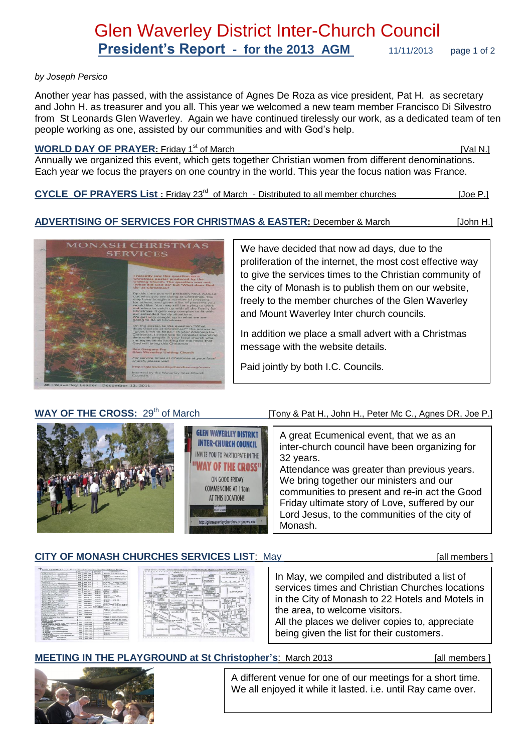#### *by Joseph Persico*

Another year has passed, with the assistance of Agnes De Roza as vice president, Pat H. as secretary and John H. as treasurer and you all. This year we welcomed a new team member Francisco Di Silvestro from St Leonards Glen Waverley. Again we have continued tirelessly our work, as a dedicated team of ten people working as one, assisted by our communities and with God's help.

#### **WORLD DAY OF PRAYER:** Friday 1<sup>st</sup> of March [Val N.] [Val N.]

Annually we organized this event, which gets together Christian women from different denominations. Each year we focus the prayers on one country in the world. This year the focus nation was France.

CYCLE OF PRAYERS List : Friday 23<sup>rd</sup> of March - Distributed to all member churches [Joe P.]

#### **ADVERTISING OF SERVICES FOR CHRISTMAS & EASTER:** December & March[John H.]



We have decided that now ad days, due to the proliferation of the internet, the most cost effective way to give the services times to the Christian community of the city of Monash is to publish them on our website, freely to the member churches of the Glen Waverley and Mount Waverley Inter church councils.

In addition we place a small advert with a Christmas message with the website details.

Paid jointly by both I.C. Councils.

#### WAY OF THE CROSS:  $29<sup>th</sup>$  of March [Tony & Pat H., John H., Peter Mc C., Agnes DR, Joe P.]

**GLEN WAVERLEY DISTRICT** A great Ecumenical event, that we as an **INTER-CHURCH COUNCIL** inter-church council have been organizing for **INVITE YOU TO PARTICIPATE IN THE** 32 years. "WAY OF THE CROSS" Attendance was greater than previous years. ON GOOD FRIDAY We bring together our ministers and our **COMMENCING AT 11am** communities to present and re-in act the Good AT THIS LOCATION !! Friday ultimate story of Love, suffered by our Lord Jesus, to the communities of the city of Monash.

## **CITY OF MONASH CHURCHES SERVICES LIST:** May **Example 20 and SERVICES LIST:** May **all members 1**

| WELCOME ! From the Christine Community of the Chu of Month, Viennis<br>ANNA MUARCE PROFILERER | w                | <b>TAXABLE WAY</b>       | <b>EXIT FETAL</b><br><b>BANGARA</b>        | mpos<br>acade / academics                                                                        |
|-----------------------------------------------------------------------------------------------|------------------|--------------------------|--------------------------------------------|--------------------------------------------------------------------------------------------------|
| Mr. Howeverberg<br><b>GRAN INSURANCE</b><br><b>DOCUMENTAL AND PROPERTY</b>                    | $\overline{1}$   | <b>MARY TABLE</b>        | <b>CONTRACTOR</b><br>14.00 W.C.            | A cro pay, house and, more out-                                                                  |
| <b>BL MARTIN'S</b><br><b><i>Information Feb.</i></b><br>OUT-AUTO Anno Progett                 | 634              | <b>BRAZ COAS</b>         |                                            | and date of                                                                                      |
| <b>GO WASHINGTON</b><br><b>Bill Contractor Avenue</b>                                         | 44.4.4           | <b>Advise MAXIN</b>      |                                            | KIND AND THEFT. THERE ARE THIS TIGHT<br><b>Building</b>                                          |
| ART MANAGEMENT<br><b>BY BUILDING M BY BEAUX</b>                                               | 514              | sear iron                | ٠                                          | I all our Continues: A dil are force fired.                                                      |
| <b>Mr. Management</b><br>Sky Angel St. (Avenue)<br><b>BAFFINT FULDITURE</b>                   |                  |                          |                                            | 100-RM AVE AD WORK UNCRETATION'S                                                                 |
| <b>Singing Corp.</b><br>17, 72 Milwarks America<br>Cheshmote                                  | <b>FAR</b>       | <b>MAIN GARD</b>         | ٠                                          | and dall same determination.<br><b>Address Contract</b>                                          |
| <b>SHOWERS</b><br>The same brand draws                                                        | Golden II        | <b>Advisor Includes</b>  | ÷                                          | K.M. are, 19 Miles, Alblant, C.M. 240<br>10-46 air, Grandes & Victoriana                         |
| <b>CASAS VIRTUANISMS</b><br>Winnie Kol                                                        | $\overline{1}$   | <b>WOOD FREE</b>         | ٠                                          | A Ad any<br><b>Middle state</b>                                                                  |
| Contr City structures and Contract Management<br><b>CATANYA'S CHANNELS</b>                    |                  |                          |                                            |                                                                                                  |
| Florida of Chicago car that Themester.                                                        | <b>HOLD</b>      | <b>ABOUT SITTLE</b>      | <b>Killed date:</b>                        | <b>With Milk</b><br><b>TA RE ART</b>                                                             |
| 47 Facciona truly Mood. Danisant East<br>Christine and Industry Attorney and                  | <b>MAY</b>       | <b><i>SAMA GAVY</i></b>  | <b>THE ROLL FOR</b>                        | <b>SCHOOL</b><br>Walk Vol.                                                                       |
| <b>AL Argument Argents</b><br><b>Whitehere</b> FWF<br>Prestate of Shade Fact Rd               |                  |                          | 8.09 pm<br>123202                          | <b>A CALL HOME</b><br>$6.66$ and<br>the way that<br><b>CONTRACTOR</b>                            |
| <b>ATT DIAMONDED N PLANE</b><br><b>AK. Midwahiller</b>                                        | <b>ALLEY</b>     | <b>BEET BARA</b>         | <b>BAR ON</b>                              | <b>EASTER</b>                                                                                    |
| Flasher of Fact Wick, Frankrick<br>A White Indian D. Person.<br><b>KNOCKER BOOKS</b>          | 111              | <b>BREE SHAR</b>         | <b>9.65 KW</b>                             | <b>BARAGE</b><br><b>ALCOHOL: MARKET</b>                                                          |
| Parties of Ballrad Heart,<br>FB ANNEVILLE/ ANIUNA<br>Contribute                               | ma.              | <b>SEES SPEE</b>         | 5.58.000                                   | A bill argued include. Width sale.<br>A different contact                                        |
| Parten of St. Christophist's.<br><b><i>Changed</i></b>                                        | <b>Sign</b>      | <b>SHIPS RAIN</b>        | 6,66 pm                                    | <b>ALL AND</b><br>side ball some                                                                 |
| <b>E.Chased Acampa.</b><br>Fortalt of M. John Vierning's                                      | <b>ALCOHOL</b>   | <b>Advert States</b>     | A dall costs                               | <b>KIND OF</b><br>19,397,610                                                                     |
| 22.25.2<br>T. Floorey, Floored<br><b>EDITOR OF BUILDING</b>                                   | $-1$             | <b>MALL BARS</b>         | <b>K date more</b>                         | A Marin<br>10.00 000<br>All Alabam and the                                                       |
| <b>Victoriance Feb.</b><br>and well-delivery interiors.<br>FOR THE 14 P.C. E RECOVERED        |                  |                          |                                            | A STAT FOR SHIP WAS TOOK ON                                                                      |
| bills Springvara Howe, Glass Haustring                                                        | -                | <b>WINNIE BARB</b>       | <b>A MA MAIL</b>                           | UVC 18-20 pm, 10-54 pm<br><b>Bally of Links</b>                                                  |
| Figrish of It. More Maggalane a.<br><b>CLASSING START</b><br>GRANDAN                          | dia.             | <b>BRAY LARA</b>         | <b>GALLEY YOU'LLN</b><br>$-2211 - 2212$    | <b>EX-26 mm</b><br><b>Building</b>                                                               |
| <b>CHARGED OF CHRIST</b><br>President CMC Walkerton                                           |                  |                          |                                            | <b>UCSEAR A Straight E Products</b>                                                              |
| <b>ARA COMPANY Model - ANTIQUAL</b>                                                           |                  | <b>ARRA CASE</b>         | ÷                                          | <b>E-20 per 4-timent contention</b>                                                              |
| <b>WOUTLINGT CITY</b><br>Ad Annexono diversion - Organ Winnerhing                             | $\cdots$         | <b><i>REGAL BANK</i></b> |                                            | <b>CA GOLD AND</b><br><b>B. GO ATA - CONTROLLED FOR THE</b>                                      |
| <b>Richardon</b><br>11.07 Inchester Print, Electricate                                        | <b>AFRA</b>      | <b>STAR FANS</b>         |                                            | 15.00.441                                                                                        |
| <b>CORPORATION CONTINUES.</b>                                                                 | <b>Select</b>    | <b>MAY 1974</b>          |                                            | <b>RING WAS THE FOUR RING WIN TREE ENGINEERS</b>                                                 |
| INTERNATIONAL SHARES                                                                          |                  |                          |                                            | CLAR are of Sunta Performance, Stand                                                             |
| <b>Selection</b>                                                                              | <b>ALCOHOL:</b>  | <b>MAIN AMES</b>         | ٠                                          | KIND CO., TX 80' girl, \$100' port. Telecoment<br>A-88 AM  If the win themes fronts for complete |
| ATH FAIR IN Phone, Allen Missourism<br>LEAFFRAM HIFE (MISSION)                                |                  |                          |                                            |                                                                                                  |
| STAY WAYNESS & Popping FEIAH, GEAL WOUNDATED                                                  | <b>ALLA</b>      | <b>Alberta Estable</b>   | ۰                                          | Kindman, Wildlams, COMMAN,<br>A 88 JULY 1933 ST., F-95 JULY 1-12                                 |
| Michael Wallamay Inspir for Money.<br>and them by depart. Manual discussions                  | 49.644           | <b>ARRY AVAN</b>         |                                            | month auto the control of the state.                                                             |
| <b>WLAGFOUR</b>                                                                               | <b>MAG</b>       | <b>ASAN HOME</b>         | ×                                          | in the con-                                                                                      |
| <b>Ed Mariak Hannon</b> - Industries<br><b>The Section's Min. Minimum Laws</b>                | <b>WAS</b>       | <b>AAAA SSAA</b>         | researches<br><b>GOLD TO TAXA VE BRAND</b> |                                                                                                  |
| <b>Change History, Africa's Anticipatible</b><br>a                                            |                  |                          |                                            |                                                                                                  |
| To be what we are award with more<br><b>M. MAIN'S</b>                                         | 49.9%            | <b>DEMAND BRANCH</b>     | ×                                          | <b>R. R.R. A.M.</b><br>11.00 per 4. English                                                      |
| For Museum & Houseway Alexan, Chapbelon                                                       | <b>REM</b>       | detect where             |                                            | 13.30 per A. Figuri                                                                              |
| <b>WEIGHTEN THE</b><br>1944-745 Pacificos Cudy, Floatd, Uklassings 248                        | 1534             | <b>SHOP SARA</b>         | Ξ                                          | <b>AR AR ANY</b>                                                                                 |
| TRIALITY LETING SALEMAN HE                                                                    | <b>MAY</b>       | <b>MAKE ARRIVE</b>       | ٠                                          |                                                                                                  |
| <b>Missell Elevening</b><br>of bracket sheet."<br><b>A POLICE</b>                             | <b>The State</b> | <b>ACAD EXAM</b>         |                                            |                                                                                                  |



In May, we compiled and distributed a list of services times and Christian Churches locations in the City of Monash to 22 Hotels and Motels in the area, to welcome visitors. All the places we deliver copies to, appreciate

being given the list for their customers.

#### **MEETING IN THE PLAYGROUND at St Christopher's: March 2013** [all members ]



A different venue for one of our meetings for a short time. We all enjoyed it while it lasted. i.e. until Ray came over.